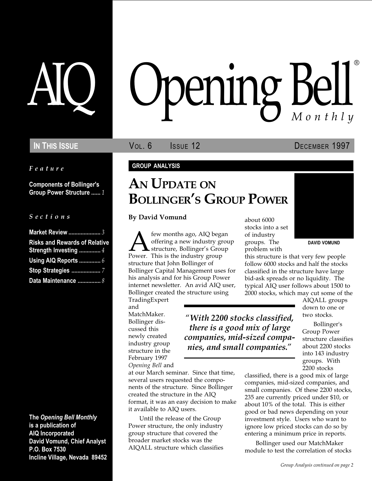Feature

Components of Bollinger's Group Power Structure ...... 1

#### S e c t i o n s

| <b>Market Review </b> 3                                       |  |
|---------------------------------------------------------------|--|
| <b>Risks and Rewards of Relative</b><br>Strength Investing  4 |  |
| Using AIQ Reports  6                                          |  |
|                                                               |  |
| Data Maintenance  8                                           |  |

The Opening Bell Monthly is a publication of AIQ Incorporated David Vomund, Chief Analyst P.O. Box 7530 Incline Village, Nevada 89452

# pening Bell ®

In This Issue **Vol. 6 ISSUE** 12 **DECEMBER 1997** 

#### GROUP ANALYSIS

# AN UPDATE ON **BOLLINGER'S GROUP POWER**

#### By David Vomund

**Ally** few months ago, AIQ began<br>offering a new industry group<br>Power. This is the industry group offering a new industry group structure, Bollinger's Group structure that John Bollinger of Bollinger Capital Management uses for his analysis and for his Group Power internet newsletter. An avid AIQ user, Bollinger created the structure using

at our March seminar. Since that time, several users requested the components of the structure. Since Bollinger created the structure in the AIQ

format, it was an easy decision to make

Until the release of the Group Power structure, the only industry group structure that covered the broader market stocks was the AIQALL structure which classifies

it available to AIQ users.

TradingExpert and MatchMaker. Bollinger discussed this newly created industry group structure in the February 1997 Opening Bell and

With 2200 stocks classified, there is a good mix of large companies, mid-sized companies, and small companies.

about 6000 stocks into a set of industry groups. The problem with



this structure is that very few people follow 6000 stocks and half the stocks classified in the structure have large bid-ask spreads or no liquidity. The typical AIQ user follows about 1500 to 2000 stocks, which may cut some of the

AIQALL groups down to one or two stocks.

Bollinger's Group Power structure classifies about 2200 stocks into 143 industry groups. With 2200 stocks

classified, there is a good mix of large companies, mid-sized companies, and small companies. Of these 2200 stocks, 235 are currently priced under \$10, or about 10% of the total. This is either good or bad news depending on your investment style. Users who want to ignore low priced stocks can do so by entering a minimum price in reports.

Bollinger used our MatchMaker module to test the correlation of stocks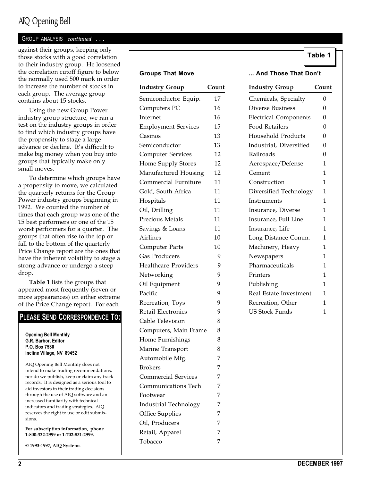## AIQ Opening Bell

#### GROUP ANALYSIS continued ...

Table 1 against their groups, keeping only those stocks with a good correlation to their industry group. He loosened the correlation cutoff figure to below the normally used 500 mark in order to increase the number of stocks in each group. The average group contains about 15 stocks.

Using the new Group Power industry group structure, we ran a test on the industry groups in order to find which industry groups have the propensity to stage a large advance or decline. It's difficult to make big money when you buy into groups that typically make only small moves.

To determine which groups have a propensity to move, we calculated the quarterly returns for the Group Power industry groups beginning in 1992. We counted the number of times that each group was one of the 15 best performers or one of the 15 worst performers for a quarter. The groups that often rise to the top or fall to the bottom of the quarterly Price Change report are the ones that have the inherent volatility to stage a strong advance or undergo a steep drop.

Table 1 lists the groups that appeared most frequently (seven or more appearances) on either extreme of the Price Change report. For each

#### PLEASE SEND CORRESPONDENCE TO:

Opening Bell Monthly G.R. Barbor, Editor P.O. Box 7530 Incline Village, NV 89452

AIQ Opening Bell Monthly does not intend to make trading recommendations, nor do we publish, keep or claim any track records. It is designed as a serious tool to aid investors in their trading decisions through the use of AIQ software and an increased familiarity with technical indicators and trading strategies. AIQ reserves the right to use or edit submissions.

For subscription information, phone 1-800-332-2999 or 1-702-831-2999.

© 1993-1997, AIQ Systems

| <b>Industry Group</b>       | Count | <b>Industry Group</b>        | Count        |
|-----------------------------|-------|------------------------------|--------------|
| Semiconductor Equip.        | 17    | Chemicals, Specialty         | 0            |
| Computers PC                | 16    | Diverse Business             | 0            |
| Internet                    | 16    | <b>Electrical Components</b> | $\theta$     |
| <b>Employment Services</b>  | 15    | <b>Food Retailers</b>        | 0            |
| Casinos                     | 13    | Household Products           | $\theta$     |
| Semiconductor               | 13    | Industrial, Diversified      | $\theta$     |
| <b>Computer Services</b>    | 12    | Railroads                    | $\theta$     |
| Home Supply Stores          | 12    | Aerospace/Defense            | 1            |
| Manufactured Housing        | 12    | Cement                       | $\mathbf{1}$ |
| <b>Commercial Furniture</b> | 11    | Construction                 | $\mathbf{1}$ |
| Gold, South Africa          | 11    | Diversified Technology       | 1            |
| Hospitals                   | 11    | Instruments                  | $\mathbf{1}$ |
| Oil, Drilling               | 11    | Insurance, Diverse           | $\mathbf{1}$ |
| Precious Metals             | 11    | Insurance, Full Line         | $\mathbf{1}$ |
| Savings & Loans             | 11    | Insurance, Life              | 1            |
| Airlines                    | 10    | Long Distance Comm.          | 1            |
| <b>Computer Parts</b>       | 10    | Machinery, Heavy             | 1            |
| <b>Gas Producers</b>        | 9     | Newspapers                   | 1            |
| <b>Healthcare Providers</b> | 9     | Pharmaceuticals              | 1            |
| Networking                  | 9     | Printers                     | $\mathbf{1}$ |
| Oil Equipment               | 9     | Publishing                   | 1            |
| Pacific                     | 9     | Real Estate Investment       | 1            |
| Recreation, Toys            | 9     | Recreation, Other            | 1            |
| Retail Electronics          | 9     | <b>US Stock Funds</b>        | 1            |
| Cable Television            | 8     |                              |              |
| Computers, Main Frame       | 8     |                              |              |
| Home Furnishings            | 8     |                              |              |
| Marine Transport            | 8     |                              |              |
| Automobile Mfg.             | 7     |                              |              |
| <b>Brokers</b>              | 7     |                              |              |
| <b>Commercial Services</b>  | 7     |                              |              |
| Communications Tech         | 7     |                              |              |
| Footwear                    | 7     |                              |              |
| Industrial Technology       | 7     |                              |              |
| <b>Office Supplies</b>      | 7     |                              |              |
| Oil, Producers              | 7     |                              |              |
| Retail, Apparel             | 7     |                              |              |
| Tobacco                     | 7     |                              |              |
|                             |       |                              |              |

#### Groups That Move ... And Those That Don't

| <b>Industry Group</b>        | Coun           |
|------------------------------|----------------|
| Chemicals, Specialty         | 0              |
| <b>Diverse Business</b>      | $\Omega$       |
| <b>Electrical Components</b> | $\Omega$       |
| Food Retailers               | $\overline{0}$ |
| Household Products           | $\Omega$       |
| Industrial, Diversified      | $\overline{0}$ |
| Railroads                    | $\Omega$       |
| Aerospace/Defense            | $\overline{1}$ |
| Cement                       | $\mathbf{1}$   |
| Construction                 | 1              |
| Diversified Technology       | $\overline{1}$ |
| Instruments                  | $\mathbf{1}$   |
| Insurance, Diverse           | 1              |
| Insurance, Full Line         | $\overline{1}$ |
| Insurance, Life              | 1              |
| Long Distance Comm.          | $\overline{1}$ |
| Machinery, Heavy             | 1              |
| Newspapers                   | $\overline{1}$ |
| Pharmaceuticals              | 1              |
| Printers                     | 1              |
| Publishing                   | $\overline{1}$ |
| Real Estate Investment       | 1              |
| Recreation, Other            | 1              |
| <b>US Stock Funds</b>        | 1              |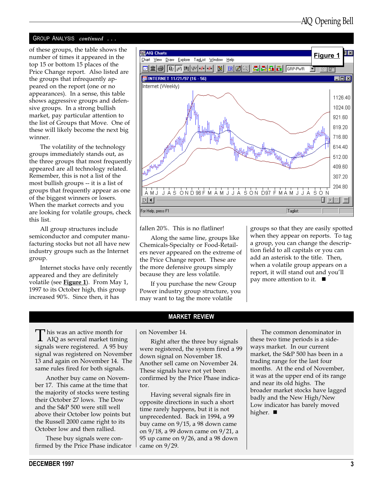#### GROUP ANALYSIS continued ...

number of times it appeared in the top 15 or bottom 15 places of the Price Change report. Also listed are the groups that infrequently appeared on the report (one or no appearances). In a sense, this table shows aggressive groups and defensive groups. In a strong bullish market, pay particular attention to the list of Groups that Move. One of these will likely become the next big winner.

The volatility of the technology groups immediately stands out, as the three groups that most frequently appeared are all technology related. Remember, this is not a list of the most bullish groups -- it is a list of groups that frequently appear as one of the biggest winners or losers. When the market corrects and you are looking for volatile groups, check this list.

All group structures include semiconductor and computer manufacturing stocks but not all have new industry groups such as the Internet group.

Internet stocks have only recently appeared and they are definitely volatile (see Figure 1). From May 1, 1997 to its October high, this group increased 90%. Since then, it has



fallen 20%. This is no flatliner!

Along the same line, groups like Chemicals-Specialty or Food-Retailers never appeared on the extreme of the Price Change report. These are the more defensive groups simply because they are less volatile.

If you purchase the new Group Power industry group structure, you may want to tag the more volatile

MARKET REVIEW

groups so that they are easily spotted when they appear on reports. To tag a group, you can change the description field to all capitals or you can add an asterisk to the title. Then, when a volatile group appears on a report, it will stand out and you'll pay more attention to it.  $\blacksquare$ 

 $\prod$  his was an active month for<br>AIQ as several market timing signals were registered. A 95 buy signal was registered on November 13 and again on November 14. The same rules fired for both signals.

Another buy came on November 17. This came at the time that the majority of stocks were testing their October 27 lows. The Dow and the S&P 500 were still well above their October low points but the Russell 2000 came right to its October low and then rallied.

These buy signals were confirmed by the Price Phase indicator on November 14.

Right after the three buy signals were registered, the system fired a 99 down signal on November 18. Another sell came on November 24. These signals have not yet been confirmed by the Price Phase indicator.

Having several signals fire in opposite directions in such a short time rarely happens, but it is not unprecedented. Back in 1994, a 99 buy came on 9/15, a 98 down came on 9/18, a 99 down came on 9/21, a 95 up came on 9/26, and a 98 down came on 9/29.

The common denominator in these two time periods is a sideways market. In our current market, the S&P 500 has been in a trading range for the last four months. At the end of November, it was at the upper end of its range and near its old highs. The broader market stocks have lagged badly and the New High/New Low indicator has barely moved higher.  $\blacksquare$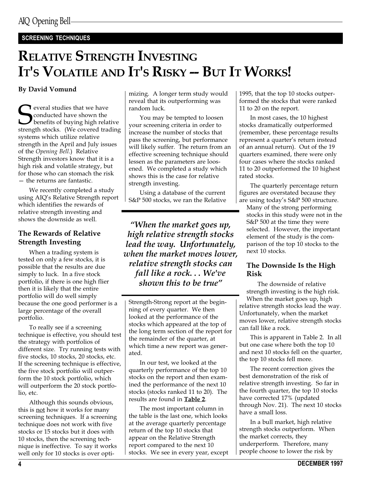## SCREENING TECHNIQUES

# RELATIVE STRENGTH INVESTING IT'S VOLATILE AND IT'S RISKY -- BUT IT WORKS!

## By David Vomund

Several studies that we have<br>strength stocks. (We covered transfer as<br>trength stocks. (We covered transfer as conducted have shown the benefits of buying high relative strength stocks. (We covered trading systems which utilize relative strength in the April and July issues of the Opening Bell.) Relative Strength investors know that it is a high risk and volatile strategy, but for those who can stomach the risk  $-$  the returns are fantastic.

We recently completed a study using AIQ's Relative Strength report which identifies the rewards of relative strength investing and shows the downside as well.

## The Rewards of Relative Strength Investing

When a trading system is tested on only a few stocks, it is possible that the results are due simply to luck. In a five stock portfolio, if there is one high flier then it is likely that the entire portfolio will do well simply because the one good performer is a large percentage of the overall portfolio.

To really see if a screening technique is effective, you should test the strategy with portfolios of different size. Try running tests with five stocks, 10 stocks, 20 stocks, etc. If the screening technique is effective, the five stock portfolio will outperform the 10 stock portfolio, which will outperform the 20 stock portfolio, etc.

Although this sounds obvious, this is not how it works for many screening techniques. If a screening technique does not work with five stocks or 15 stocks but it does with 10 stocks, then the screening technique is ineffective. To say it works well only for 10 stocks is over opti-

mizing. A longer term study would reveal that its outperforming was random luck.

You may be tempted to loosen your screening criteria in order to increase the number of stocks that pass the screening, but performance will likely suffer. The return from an effective screening technique should lessen as the parameters are loosened. We completed a study which shows this is the case for relative strength investing.

Using a database of the current S&P 500 stocks, we ran the Relative

When the market goes up, high relative strength stocks lead the way. Unfortunately, when the market moves lower, relative strength stocks can fall like a rock. . . We've shown this to be true"

Strength-Strong report at the beginning of every quarter. We then looked at the performance of the stocks which appeared at the top of the long term section of the report for the remainder of the quarter, at which time a new report was generated.

In our test, we looked at the quarterly performance of the top 10 stocks on the report and then examined the performance of the next 10 stocks (stocks ranked 11 to 20). The results are found in Table 2.

The most important column in the table is the last one, which looks at the average quarterly percentage return of the top 10 stocks that appear on the Relative Strength report compared to the next 10 stocks. We see in every year, except 1995, that the top 10 stocks outperformed the stocks that were ranked 11 to 20 on the report.

In most cases, the 10 highest stocks dramatically outperformed (remember, these percentage results represent a quarter's return instead of an annual return). Out of the 19 quarters examined, there were only four cases where the stocks ranked 11 to 20 outperformed the 10 highest rated stocks.

The quarterly percentage return figures are overstated because they are using today's S&P 500 structure.

Many of the strong performing stocks in this study were not in the S&P 500 at the time they were selected. However, the important element of the study is the comparison of the top 10 stocks to the next 10 stocks.

#### The Downside Is the High Risk

The downside of relative strength investing is the high risk. When the market goes up, high relative strength stocks lead the way. Unfortunately, when the market moves lower, relative strength stocks can fall like a rock.

This is apparent in Table 2. In all but one case where both the top 10 and next 10 stocks fell on the quarter, the top 10 stocks fell more.

The recent correction gives the best demonstration of the risk of relative strength investing. So far in the fourth quarter, the top 10 stocks have corrected 17% (updated through Nov. 21). The next 10 stocks have a small loss.

In a bull market, high relative strength stocks outperform. When the market corrects, they underperform. Therefore, many people choose to lower the risk by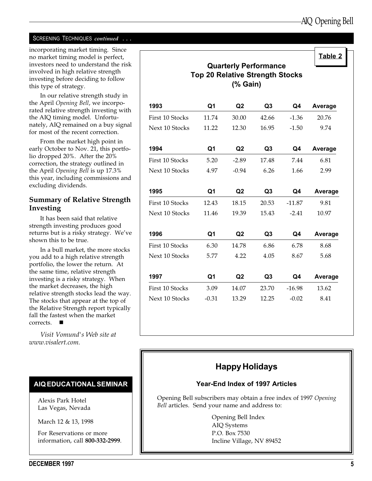#### SCREENING TECHNIQUES continued . . .

incorporating market timing. Since no market timing model is perfect, investors need to understand the risk involved in high relative strength investing before deciding to follow this type of strategy.

In our relative strength study in the April Opening Bell, we incorporated relative strength investing with the AIQ timing model. Unfortunately, AIQ remained on a buy signal for most of the recent correction.

From the market high point in early October to Nov. 21, this portfolio dropped 20%. After the 20% correction, the strategy outlined in the April Opening Bell is up 17.3% this year, including commissions and excluding dividends.

#### Summary of Relative Strength Investing

It has been said that relative strength investing produces good returns but is a risky strategy. We've shown this to be true.

In a bull market, the more stocks you add to a high relative strength portfolio, the lower the return. At the same time, relative strength investing is a risky strategy. When the market decreases, the high relative strength stocks lead the way. The stocks that appear at the top of the Relative Strength report typically fall the fastest when the market  $corrects.$ 

Visit Vomund's Web site at www.visalert.com.

#### AIQ EDUCATIONAL SEMINAR

Alexis Park Hotel Las Vegas, Nevada

March 12 & 13, 1998

For Reservations or more information, call 800-332-2999.

|                                                                                    |                |                |                |          | Table 2        |  |
|------------------------------------------------------------------------------------|----------------|----------------|----------------|----------|----------------|--|
| <b>Quarterly Performance</b><br><b>Top 20 Relative Strength Stocks</b><br>(% Gain) |                |                |                |          |                |  |
| 1993                                                                               | Q <sub>1</sub> | Q2             | Q <sub>3</sub> | Q4       | <b>Average</b> |  |
| First 10 Stocks                                                                    | 11.74          | 30.00          | 42.66          | $-1.36$  | 20.76          |  |
| Next 10 Stocks                                                                     | 11.22          | 12.30          | 16.95          | $-1.50$  | 9.74           |  |
| 1994                                                                               | Q <sub>1</sub> | Q <sub>2</sub> | Q <sub>3</sub> | Q4       | Average        |  |
| First 10 Stocks                                                                    | 5.20           | $-2.89$        | 17.48          | 7.44     | 6.81           |  |
| Next 10 Stocks                                                                     | 4.97           | $-0.94$        | 6.26           | 1.66     | 2.99           |  |
| 1995                                                                               | Q1             | Q <sub>2</sub> | Q <sub>3</sub> | Q4       | Average        |  |
| First 10 Stocks                                                                    | 12.43          | 18.15          | 20.53          | $-11.87$ | 9.81           |  |
| Next 10 Stocks                                                                     | 11.46          | 19.39          | 15.43          | $-2.41$  | 10.97          |  |
| 1996                                                                               | Q1             | Q <sub>2</sub> | Q <sub>3</sub> | Q4       | <b>Average</b> |  |
| First 10 Stocks                                                                    | 6.30           | 14.78          | 6.86           | 6.78     | 8.68           |  |
| Next 10 Stocks                                                                     | 5.77           | 4.22           | 4.05           | 8.67     | 5.68           |  |
| 1997                                                                               | Q <sub>1</sub> | Q <sub>2</sub> | Q3             | Q4       | Average        |  |
| First 10 Stocks                                                                    | 3.09           | 14.07          | 23.70          | $-16.98$ | 13.62          |  |
| Next 10 Stocks                                                                     | $-0.31$        | 13.29          | 12.25          | $-0.02$  | 8.41           |  |

## Happy Holidays

#### Year-End Index of 1997 Articles

Opening Bell subscribers may obtain a free index of 1997 Opening Bell articles. Send your name and address to:

> Opening Bell Index AIQ Systems P.O. Box 7530 Incline Village, NV 89452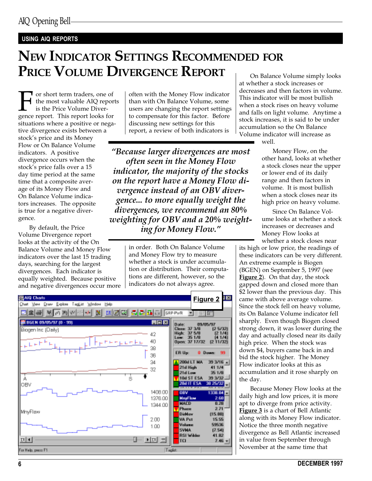#### USING AIQ REPORTS

# NEW INDICATOR SETTINGS RECOMMENDED FOR PRICE VOLUME DIVERGENCE REPORT

For short term traders, one of<br>the most valuable AIQ repor<br>is the Price Volume Diver-<br>gence report. This report looks for the most valuable AIQ reports is the Price Volume Diversituations where a positive or negative divergence exists between a stock's price and its Money Flow or On Balance Volume indicators. A positive divergence occurs when the stock's price falls over a 15 day time period at the same time that a composite average of its Money Flow and On Balance Volume indicators increases. The opposite is true for a negative divergence.

By default, the Price Volume Divergence report looks at the activity of the On Balance Volume and Money Flow indicators over the last 15 trading days, searching for the largest divergences. Each indicator is equally weighted. Because positive and negative divergences occur more

often with the Money Flow indicator than with On Balance Volume, some users are changing the report settings to compensate for this factor. Before discussing new settings for this report, a review of both indicators is

Because larger divergences are most often seen in the Money Flow indicator, the majority of the stocks on the report have a Money Flow divergence instead of an OBV divergence... to more equally weight the divergences, we recommend an 80% weighting for OBV and a 20% weighting for Money Flow.

> in order. Both On Balance Volume and Money Flow try to measure whether a stock is under accumulation or distribution. Their computations are different, however, so the indicators do not always agree.



On Balance Volume simply looks at whether a stock increases or decreases and then factors in volume. This indicator will be most bullish when a stock rises on heavy volume and falls on light volume. Anytime a stock increases, it is said to be under accumulation so the On Balance Volume indicator will increase as

well.

Money Flow, on the other hand, looks at whether a stock closes near the upper or lower end of its daily range and then factors in volume. It is most bullish when a stock closes near its high price on heavy volume.

Since On Balance Volume looks at whether a stock increases or decreases and Money Flow looks at whether a stock closes near

its high or low price, the readings of these indicators can be very different. An extreme example is Biogen (BGEN) on September 5, 1997 (see Figure 2). On that day, the stock gapped down and closed more than \$2 lower than the previous day. This came with above average volume. Since the stock fell on heavy volume, its On Balance Volume indicator fell sharply. Even though Biogen closed strong down, it was lower during the day and actually closed near its daily high price. When the stock was down \$4, buyers came back in and bid the stock higher. The Money Flow indicator looks at this as accumulation and it rose sharply on the day.

Because Money Flow looks at the daily high and low prices, it is more apt to diverge from price activity. Figure 3 is a chart of Bell Atlantic along with its Money Flow indicator. Notice the three month negative divergence as Bell Atlantic increased in value from September through November at the same time that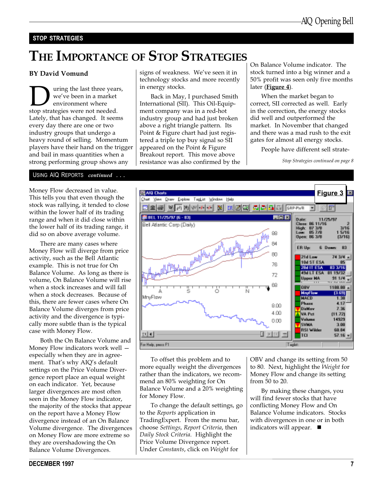#### STOP STRATEGIES

# THE IMPORTANCE OF STOP STRATEGIES

#### BY David Vomund

**D** uring the last three years,<br>
we've been in a market<br>
stop strategies were not needed. we've been in a market environment where Lately, that has changed. It seems every day there are one or two industry groups that undergo a heavy round of selling. Momentum players have their hand on the trigger and bail in mass quantities when a strong performing group shows any

signs of weakness. We've seen it in technology stocks and more recently in energy stocks.

Back in May, I purchased Smith International (SII). This Oil-Equipment company was in a red-hot industry group and had just broken above a right triangle pattern. Its Point & Figure chart had just registered a triple top buy signal so SII appeared on the Point & Figure Breakout report. This move above resistance was also confirmed by the On Balance Volume indicator. The stock turned into a big winner and a 50% profit was seen only five months later ( $Figure 4$ ).

When the market began to correct, SII corrected as well. Early in the correction, the energy stocks did well and outperformed the market. In November that changed and there was a mad rush to the exit gates for almost all energy stocks.

People have different sell strate-

Stop Strategies continued on page 8

#### USING AIQ REPORTS continued ...

stock was rallying, it tended to close within the lower half of its trading range and when it did close within the lower half of its trading range, it did so on above average volume.

There are many cases where Money Flow will diverge from price activity, such as the Bell Atlantic example. This is not true for On Balance Volume. As long as there is volume, On Balance Volume will rise when a stock increases and will fall when a stock decreases. Because of this, there are fewer cases where On Balance Volume diverges from price activity and the divergence is typically more subtle than is the typical case with Money Flow.

Both the On Balance Volume and Money Flow indicators work well especially when they are in agreement. That's why AIQ's default settings on the Price Volume Divergence report place an equal weight on each indicator. Yet, because larger divergences are most often seen in the Money Flow indicator, the majority of the stocks that appear on the report have a Money Flow divergence instead of an On Balance Volume divergence. The divergences on Money Flow are more extreme so they are overshadowing the On Balance Volume Divergences.



To offset this problem and to more equally weight the divergences rather than the indicators, we recommend an 80% weighting for On Balance Volume and a 20% weighting for Money Flow.

To change the default settings, go to the Reports application in TradingExpert. From the menu bar, choose Settings, Report Criteria, then Daily Stock Criteria. Highlight the Price Volume Divergence report. Under Constants, click on Weight for

OBV and change its setting from 50 to 80. Next, highlight the Weight for Money Flow and change its setting from 50 to 20.

By making these changes, you will find fewer stocks that have conflicting Money Flow and On Balance Volume indicators. Stocks with divergences in one or in both indicators will appear.  $\blacksquare$